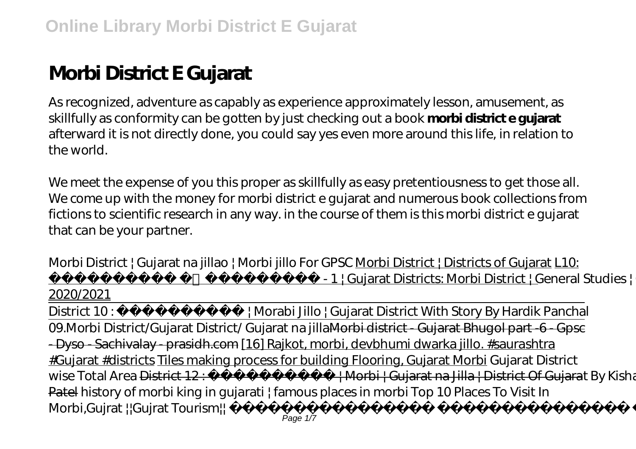# **Morbi District E Gujarat**

As recognized, adventure as capably as experience approximately lesson, amusement, as skillfully as conformity can be gotten by just checking out a book **morbi district e gujarat** afterward it is not directly done, you could say yes even more around this life, in relation to the world.

We meet the expense of you this proper as skillfully as easy pretentiousness to get those all. We come up with the money for morbi district e gujarat and numerous book collections from fictions to scientific research in any way. in the course of them is this morbi district e gujarat that can be your partner.

Morbi District | Gujarat na jillao | Morbi jillo For GPSC Morbi District | Districts of Gujarat L10: - 1 | Gujarat Districts: Morbi District | General Studies | GPSC

2020/2021 District 10: Horabi Jillo | Gujarat District With Story By Hardik Panchal 09. Morbi District/Gujarat District/ Gujarat na jillaMorbi district - Gujarat Bhugol part - 6 - Gpsc - Dyso - Sachivalay - prasidh.com [16] Rajkot, morbi, devbhumi dwarka jillo. #saurashtra #Gujarat #districts Tiles making process for building Flooring, Gujarat Morbi *Gujarat District wise Total Area* District 12: Horbi | Gujarat na Jilla | District Of Gujarat By Kishan Patel *history of morbi king in gujarati | famous places in morbi Top 10 Places To Visit In Morbi,Gujrat ||Gujrat Tourism* Page 1/7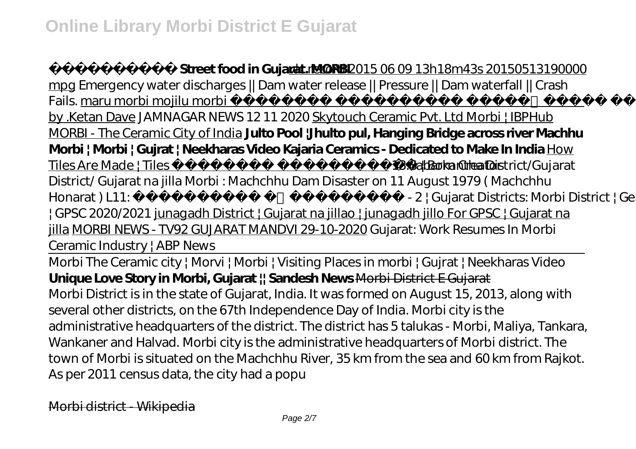# **Street food in Gujarat. MORBI** vlc record 2015 06 09 13h18m43s 20150513190000

mpg Emergency water discharges || Dam water release || Pressure || Dam waterfall || Crash Fails. maru morbi mojilu morbi **History**) (morbi history) by .Ketan Dave JAMNAGAR NEWS 12 11 2020 Skytouch Ceramic Pvt. Ltd Morbi | IBPHub MORBI - The Ceramic City of India **Julto Pool |Jhulto pul, Hanging Bridge across river Machhu Morbi | Morbi | Gujrat | Neekharas Video Kajaria Ceramics - Dedicated to Make In India** How Tiles Are Made | Tiles **are States and Europe and Files Are Made** | Tiles are not a set of the set of the Sabarkantha District/Gujarat District/ Gujarat na jilla *Morbi : Machchhu Dam Disaster on 11 August 1979 ( Machchhu Honarat ) <i>L11: L11:*  $\cdot$  *L2 | Gujarat Districts: Morbi District | General Studies | GPSC 2020/2021* junagadh District | Gujarat na jillao | junagadh jillo For GPSC | Gujarat na jilla MORBI NEWS - TV92 GUJARAT MANDVI 29-10-2020 Gujarat: Work Resumes In Morbi Ceramic Industry | ABP News Morbi The Ceramic city | Morvi | Morbi | Visiting Places in morbi | Gujrat | Neekharas Video **Unique Love Story in Morbi, Gujarat || Sandesh News** Morbi District E Gujarat Morbi District is in the state of Gujarat, India. It was formed on August 15, 2013, along with several other districts, on the 67th Independence Day of India. Morbi city is the administrative headquarters of the district. The district has 5 talukas - Morbi, Maliya, Tankara, Wankaner and Halvad. Morbi city is the administrative headquarters of Morbi district. The town of Morbi is situated on the Machchhu River, 35 km from the sea and 60 km from Rajkot. As per 2011 census data, the city had a popu

Morbi district - Wikipedia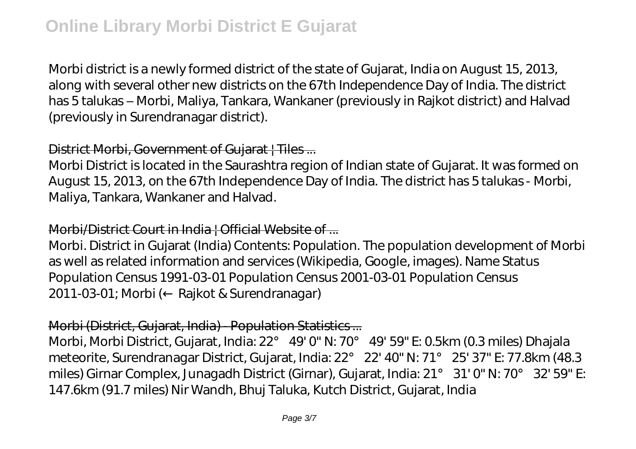Morbi district is a newly formed district of the state of Gujarat, India on August 15, 2013, along with several other new districts on the 67th Independence Day of India. The district has 5 talukas – Morbi, Maliya, Tankara, Wankaner (previously in Rajkot district) and Halvad (previously in Surendranagar district).

# District Morbi, Government of Gujarat | Tiles...

Morbi District is located in the Saurashtra region of Indian state of Gujarat. It was formed on August 15, 2013, on the 67th Independence Day of India. The district has 5 talukas - Morbi, Maliya, Tankara, Wankaner and Halvad.

#### Morbi/District Court in India | Official Website of ...

Morbi. District in Gujarat (India) Contents: Population. The population development of Morbi as well as related information and services (Wikipedia, Google, images). Name Status Population Census 1991-03-01 Population Census 2001-03-01 Population Census 2011-03-01; Morbi (← Rajkot & Surendranagar)

#### Morbi (District, Gujarat, India) - Population Statistics ...

Morbi, Morbi District, Gujarat, India: 22° 49' 0" N: 70° 49' 59" E: 0.5km (0.3 miles) Dhajala meteorite, Surendranagar District, Gujarat, India: 22° 22' 40" N: 71° 25' 37" E: 77.8km (48.3 miles) Girnar Complex, Junagadh District (Girnar), Gujarat, India: 21° 31' 0" N: 70° 32' 59" E: 147.6km (91.7 miles) Nir Wandh, Bhuj Taluka, Kutch District, Gujarat, India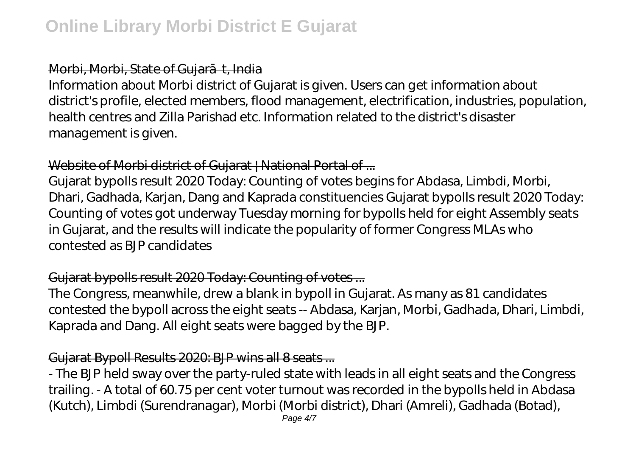## Morbi, Morbi, State of Gujar<br>t, India

Information about Morbi district of Gujarat is given. Users can get information about district's profile, elected members, flood management, electrification, industries, population, health centres and Zilla Parishad etc. Information related to the district's disaster management is given.

#### Website of Morbi district of Gujarat | National Portal of ...

Gujarat bypolls result 2020 Today: Counting of votes begins for Abdasa, Limbdi, Morbi, Dhari, Gadhada, Karjan, Dang and Kaprada constituencies Gujarat bypolls result 2020 Today: Counting of votes got underway Tuesday morning for bypolls held for eight Assembly seats in Gujarat, and the results will indicate the popularity of former Congress MLAs who contested as BJP candidates

# Gujarat bypolls result 2020 Today: Counting of votes ...

The Congress, meanwhile, drew a blank in bypoll in Gujarat. As many as 81 candidates contested the bypoll across the eight seats -- Abdasa, Karjan, Morbi, Gadhada, Dhari, Limbdi, Kaprada and Dang. All eight seats were bagged by the BJP.

# Gujarat Bypoll Results 2020: BJP wins all 8 seats ...

- The BJP held sway over the party-ruled state with leads in all eight seats and the Congress trailing. - A total of 60.75 per cent voter turnout was recorded in the bypolls held in Abdasa (Kutch), Limbdi (Surendranagar), Morbi (Morbi district), Dhari (Amreli), Gadhada (Botad),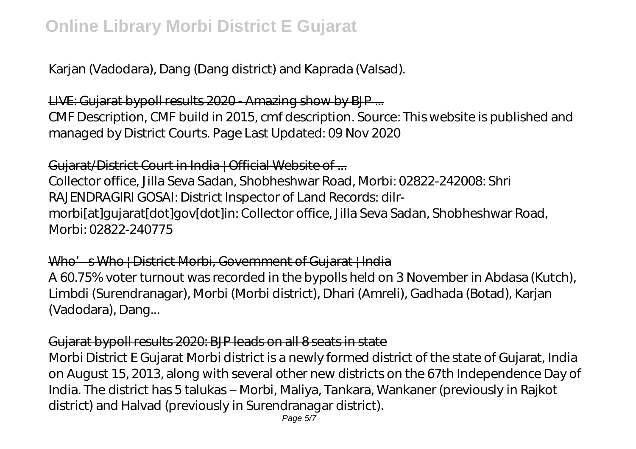Karjan (Vadodara), Dang (Dang district) and Kaprada (Valsad).

# LIVE: Gujarat bypoll results 2020 - Amazing show by BJP ...

CMF Description, CMF build in 2015, cmf description. Source: This website is published and managed by District Courts. Page Last Updated: 09 Nov 2020

# Guiarat/District Court in India | Official Website of ...

Collector office, Jilla Seva Sadan, Shobheshwar Road, Morbi: 02822-242008: Shri RAJENDRAGIRI GOSAI: District Inspector of Land Records: dilrmorbi[at]gujarat[dot]gov[dot]in: Collector office, Jilla Seva Sadan, Shobheshwar Road, Morbi: 02822-240775

# Who's Who | District Morbi, Government of Gujarat | India

A 60.75% voter turnout was recorded in the bypolls held on 3 November in Abdasa (Kutch), Limbdi (Surendranagar), Morbi (Morbi district), Dhari (Amreli), Gadhada (Botad), Karjan (Vadodara), Dang...

# Gujarat bypoll results 2020: BJP leads on all 8 seats in state

Morbi District E Gujarat Morbi district is a newly formed district of the state of Gujarat, India on August 15, 2013, along with several other new districts on the 67th Independence Day of India. The district has 5 talukas – Morbi, Maliya, Tankara, Wankaner (previously in Rajkot district) and Halvad (previously in Surendranagar district).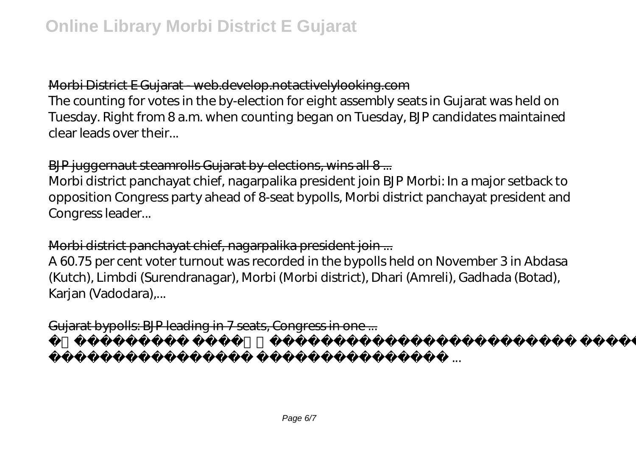# Morbi District E Gujarat - web.develop.notactivelylooking.com

The counting for votes in the by-election for eight assembly seats in Gujarat was held on Tuesday. Right from 8 a.m. when counting began on Tuesday, BJP candidates maintained clear leads over their...

#### BJP juggernaut steamrolls Gujarat by-elections, wins all 8...

Morbi district panchayat chief, nagarpalika president join BJP Morbi: In a major setback to opposition Congress party ahead of 8-seat bypolls, Morbi district panchayat president and Congress leader...

# Morbi district panchayat chief, nagarpalika president join ...

A 60.75 per cent voter turnout was recorded in the bypolls held on November 3 in Abdasa (Kutch), Limbdi (Surendranagar), Morbi (Morbi district), Dhari (Amreli), Gadhada (Botad), Karjan (Vadodara),...

Gujarat bypolls: BJP leading in 7 seats, Congress in one ...

રૂપિયાનો વહીવટ કરી ...